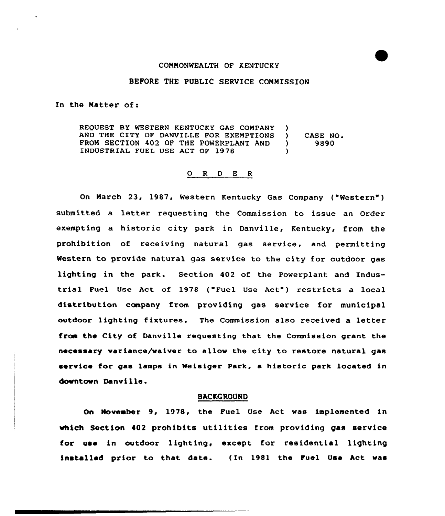#### CONNONWEALTH OF KENTUCKY

## BEFORE THE PUBLIC SERVICE COMMISSION

In the Natter of:

REQUEST BY WESTERN KENTUCKY GAS COMPANY ) AND THE CITY OF DANVILLE FOR EXEMPTIONS ) CASE NO.<br>FROM SECTION 402 OF THE POWERPLANT AND ) 9890 FROM SECTION 402 OF THE POWERPLANT AND )<br>INDUSTRIAL FUEL USE ACT OF 1978 INDUSTRIAL FUEL USE ACT OF 1978 )

### 0 <sup>R</sup> <sup>D</sup> <sup>E</sup> <sup>R</sup>

On March 23, 1987, Western Kentucky Gas Company ("Western") submitted <sup>a</sup> letter requesting the Commission to issue an Order exempting a historic city park in Danville, Kentucky, from the prohibition of receiving natural gas service, and permitting Western to provide natural gas service to the city for outdoor gas lighting in the park. Section 402 of the Powerplant and Industrial Fuel Use Act of 1978 {"Fuel Use Act") restricts a local distribution company from providing gas service for municipal outdoor lighting fixtures. The Commission also received a letter fraa the City of Danville requesting that the Commission grant the necessary variance/waiver to allow the city to restore natural gas service for gas lamps in Weisiger Park, a historic park located in dcwntovn Danville.

### BACKGROUND

On November 9, 1978, the Puel Use Act was implemented in which Section 402 prohibits utilities from providing gas service for use in outdoor lighting, except for residential lighting installed prior to that date. (In 1981 the Puel Use Act was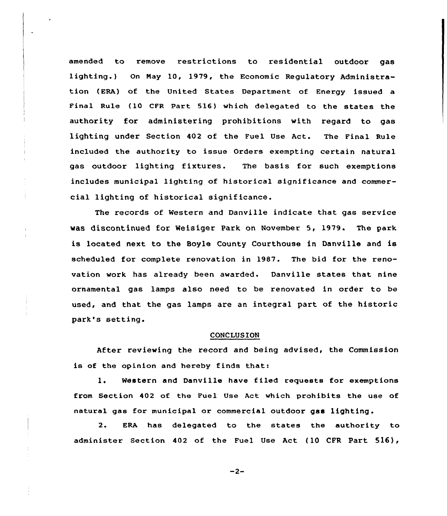amended to remove restrictions to residential outdoor gas lighting.) On May 10, 1979, the Economic Regulatory Administration (ERA) of the United States Department of Energy issued a Final Rule (10 CFR Part 516} which delegated to the states the authority for administering prohibitions with regard to gas lighting under Section 402 of the Fuel Use Act. The Final Rule included the authority to issue Orders exempting certain natural gas outdoor lighting fixtures. The basis for such exemptions includes municipal lighting of historical significance and commercial lighting of historical significance.

The records of Western and Danville indicate that gas service was discontinued for Weisiger Park on November 5, 1979. The park is located next to the Boyle County Courthouse in Danville and is scheduled for complete renovation in 1987. The bid for the renovation work has already been awarded. Danville states that nine ornamental gas lamps also need to be renovated in order to be used, and that the gas lamps are an integral part of the historic park's setting.

# **CONCLUSION**

After reviewing the record and being advised, the Commission is of the opinion and hereby finds that:

1. Western and Danville have filed requests for exemptions from Section 402 of the Fuel Use Act which prohibits the use of natural gas for municipal ox commercial outdoor gas lighting.

2. ERA has delegated to the states the authority to administer Section 402 of the Fuel Use Act (10 CFR Part 516),

 $-2-$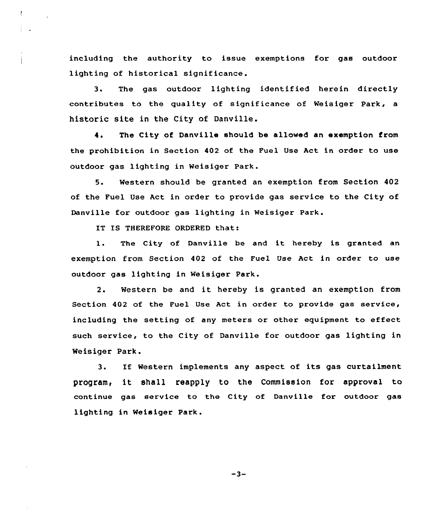including the authority to issue exemptions for gas outdoor lighting of historical significance.

3. The gas outdoor lighting identified herein directly contributes to the quality of significance of Weisiger Park, a historic site in the City of Danville.

4. The City of Danville should be allowed an exemption from the prohibition in Section 402 of the Fuel Use Act in order to use outdoor gas lighting in Weisiger Park.

5. Western should be granted an exemption from Section 402 of the Fuel Use Act in order to provide gas service to the City of Danville fox outdoor gas lighting in Weisiger Park.

IT IS THEREFORE ORDERED that:

1. The City of Danville be and it hereby is granted an exemption from Section 402 of the Fuel Use Act in order to use outdoor gas lighting in Weisiger Park.

2. Western be and it hexeby is granted an exemption from Section 402 of the Fuel Use Act in order to provide gas service, including the setting of any meters or other equipment to effect such service, to the City of Danville for outdoor gas lighting in Weisiger Park.

If Western implements any aspect of its gas curtailment  $3.$ program< it shall reapply to the Commission for approval to continue gas service to the City of Danville for outdoor gas lighting in Weisiger Park.

 $-3-$